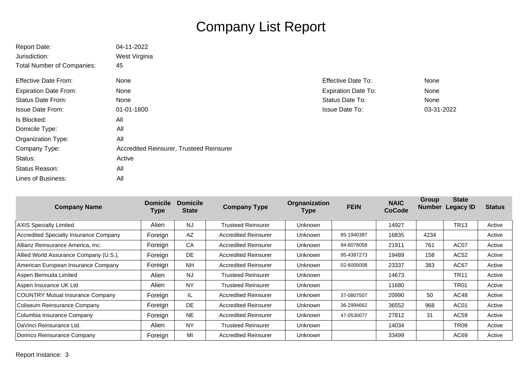## Company List Report

| <b>Report Date:</b>               | 04-11-2022                               |                            |            |
|-----------------------------------|------------------------------------------|----------------------------|------------|
| Jurisdiction:                     | West Virginia                            |                            |            |
| <b>Total Number of Companies:</b> | 45                                       |                            |            |
| <b>Effective Date From:</b>       | None                                     | <b>Effective Date To:</b>  | None       |
| <b>Expiration Date From:</b>      | None                                     | <b>Expiration Date To:</b> | None       |
| <b>Status Date From:</b>          | None                                     | Status Date To:            | None       |
| Issue Date From:                  | 01-01-1800                               | <b>Issue Date To:</b>      | 03-31-2022 |
| Is Blocked:                       | All                                      |                            |            |
| Domicile Type:                    | All                                      |                            |            |
| Organization Type:                | All                                      |                            |            |
| Company Type:                     | Accredited Reinsurer, Trusteed Reinsurer |                            |            |
| Status:                           | Active                                   |                            |            |
| Status Reason:                    | All                                      |                            |            |
| Lines of Business:                | All                                      |                            |            |

| <b>Company Name</b>                    | <b>Domicile</b><br>Type | <b>Domicile</b><br><b>State</b> | <b>Company Type</b>         | Orgnanization<br><b>Type</b> | <b>FEIN</b> | <b>NAIC</b><br><b>CoCode</b> | Group<br><b>Number</b> | <b>State</b><br><b>Legacy ID</b> | <b>Status</b> |
|----------------------------------------|-------------------------|---------------------------------|-----------------------------|------------------------------|-------------|------------------------------|------------------------|----------------------------------|---------------|
| <b>AXIS Specialty Limited</b>          | Alien                   | <b>NJ</b>                       | <b>Trusteed Reinsurer</b>   | <b>Unknown</b>               |             | 14927                        |                        | <b>TR13</b>                      | Active        |
| Accredited Specialty Insurance Company | Foreign                 | AZ                              | <b>Accredited Reinsurer</b> | <b>Unknown</b>               | 85-1940387  | 16835                        | 4234                   |                                  | Active        |
| Allianz Reinsurance America, Inc.      | Foreign                 | CA                              | <b>Accredited Reinsurer</b> | Unknown                      | 94-6078058  | 21911                        | 761                    | AC <sub>07</sub>                 | Active        |
| Allied World Assurance Company (U.S.), | Foreign                 | <b>DE</b>                       | <b>Accredited Reinsurer</b> | Unknown                      | 95-4387273  | 19489                        | 158                    | AC52                             | Active        |
| American European Insurance Company    | Foreign                 | <b>NH</b>                       | <b>Accredited Reinsurer</b> | <b>Unknown</b>               | 02-6005008  | 23337                        | 383                    | AC67                             | Active        |
| Aspen Bermuda Limited                  | Alien                   | <b>NJ</b>                       | <b>Trusteed Reinsurer</b>   | Unknown                      |             | 14673                        |                        | <b>TR11</b>                      | Active        |
| Aspen Insurance UK Ltd                 | Alien                   | <b>NY</b>                       | <b>Trusteed Reinsurer</b>   | <b>Unknown</b>               |             | 11680                        |                        | <b>TR01</b>                      | Active        |
| COUNTRY Mutual Insurance Company       | Foreign                 | IL                              | <b>Accredited Reinsurer</b> | <b>Unknown</b>               | 37-0807507  | 20990                        | 50                     | AC48                             | Active        |
| Coliseum Reinsurance Company           | Foreign                 | <b>DE</b>                       | <b>Accredited Reinsurer</b> | <b>Unknown</b>               | 36-2994662  | 36552                        | 968                    | AC <sub>01</sub>                 | Active        |
| Columbia Insurance Company             | Foreign                 | <b>NE</b>                       | <b>Accredited Reinsurer</b> | <b>Unknown</b>               | 47-0530077  | 27812                        | 31                     | AC59                             | Active        |
| DaVinci Reinsurance Ltd.               | Alien                   | <b>NY</b>                       | <b>Trusteed Reinsurer</b>   | <b>Unknown</b>               |             | 14034                        |                        | TR <sub>09</sub>                 | Active        |
| Dorinco Reinsurance Company            | Foreign                 | MI                              | <b>Accredited Reinsurer</b> | <b>Unknown</b>               |             | 33499                        |                        | AC69                             | Active        |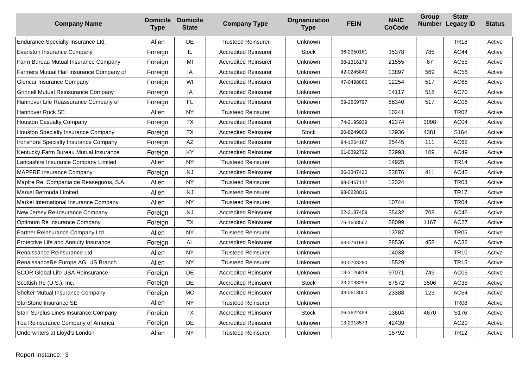| <b>Company Name</b>                        | <b>Type</b> | <b>Domicile Domicile</b><br><b>State</b> | <b>Company Type</b>         | Orgnanization<br><b>Type</b> | <b>FEIN</b> | <b>NAIC</b><br><b>CoCode</b> | Group | <b>State</b><br>Number Legacy ID | <b>Status</b> |
|--------------------------------------------|-------------|------------------------------------------|-----------------------------|------------------------------|-------------|------------------------------|-------|----------------------------------|---------------|
| Endurance Specialty Insurance Ltd.         | Alien       | DE                                       | <b>Trusteed Reinsurer</b>   | Unknown                      |             |                              |       | <b>TR18</b>                      | Active        |
| Evanston Insurance Company                 | Foreign     | IL.                                      | <b>Accredited Reinsurer</b> | <b>Stock</b>                 | 36-2950161  | 35378                        | 785   | <b>AC44</b>                      | Active        |
| Farm Bureau Mutual Insurance Company       | Foreign     | MI                                       | <b>Accredited Reinsurer</b> | Unknown                      | 38-1316179  | 21555                        | 67    | AC55                             | Active        |
| Farmers Mutual Hail Insurance Company of   | Foreign     | IA                                       | <b>Accredited Reinsurer</b> | Unknown                      | 42-0245840  | 13897                        | 569   | AC56                             | Active        |
| Glencar Insurance Company                  | Foreign     | WI                                       | <b>Accredited Reinsurer</b> | Unknown                      | 47-0498866  | 12254                        | 517   | AC68                             | Active        |
| <b>Grinnell Mutual Reinsurance Company</b> | Foreign     | IA                                       | <b>Accredited Reinsurer</b> | Unknown                      |             | 14117                        | 518   | <b>AC70</b>                      | Active        |
| Hannover Life Reassurance Company of       | Foreign     | FL                                       | <b>Accredited Reinsurer</b> | Unknown                      | 59-2859797  | 88340                        | 517   | AC06                             | Active        |
| Hannover Ruck SE                           | Alien       | <b>NY</b>                                | <b>Trusteed Reinsurer</b>   | Unknown                      |             | 10241                        |       | <b>TR02</b>                      | Active        |
| <b>Houston Casualty Company</b>            | Foreign     | <b>TX</b>                                | <b>Accredited Reinsurer</b> | Unknown                      | 74-2195939  | 42374                        | 3098  | AC04                             | Active        |
| Houston Specialty Insurance Company        | Foreign     | <b>TX</b>                                | <b>Accredited Reinsurer</b> | Stock                        | 20-8249009  | 12936                        | 4381  | S164                             | Active        |
| Ironshore Specialty Insurance Company      | Foreign     | AZ                                       | <b>Accredited Reinsurer</b> | Unknown                      | 94-1264187  | 25445                        | 111   | AC62                             | Active        |
| Kentucky Farm Bureau Mutual Insurance      | Foreign     | KY                                       | <b>Accredited Reinsurer</b> | Unknown                      | 61-0392792  | 22993                        | 109   | AC49                             | Active        |
| Lancashire Insurance Company Limited       | Alien       | <b>NY</b>                                | <b>Trusteed Reinsurer</b>   | Unknown                      |             | 14925                        |       | <b>TR14</b>                      | Active        |
| MAPFRE Insurance Company                   | Foreign     | <b>NJ</b>                                | <b>Accredited Reinsurer</b> | Unknown                      | 36-3347420  | 23876                        | 411   | AC45                             | Active        |
| Mapfre Re, Compania de Reaseguros, S.A.    | Alien       | <b>NY</b>                                | <b>Trusteed Reinsurer</b>   | Unknown                      | 98-0467112  | 12324                        |       | <b>TR03</b>                      | Active        |
| Markel Bermuda Limited                     | Alien       | NJ                                       | <b>Trusteed Reinsurer</b>   | Unknown                      | 98-0228016  |                              |       | <b>TR17</b>                      | Active        |
| Markel International Insurance Company     | Alien       | <b>NY</b>                                | <b>Trusteed Reinsurer</b>   | Unknown                      |             | 10744                        |       | <b>TR04</b>                      | Active        |
| New Jersey Re-Insurance Company            | Foreign     | <b>NJ</b>                                | <b>Accredited Reinsurer</b> | Unknown                      | 22-2187459  | 35432                        | 708   | AC46                             | Active        |
| Optimum Re Insurance Company               | Foreign     | <b>TX</b>                                | <b>Accredited Reinsurer</b> | Unknown                      | 75-1608507  | 88099                        | 1167  | <b>AC27</b>                      | Active        |
| Partner Reinsurance Company Ltd.           | Alien       | <b>NY</b>                                | <b>Trusteed Reinsurer</b>   | Unknown                      |             | 13787                        |       | <b>TR05</b>                      | Active        |
| Protective Life and Annuity Insurance      | Foreign     | AL                                       | <b>Accredited Reinsurer</b> | Unknown                      | 63-0761690  | 88536                        | 458   | AC32                             | Active        |
| Renaissance Reinsurance Ltd.               | Alien       | <b>NY</b>                                | <b>Trusteed Reinsurer</b>   | Unknown                      |             | 14033                        |       | <b>TR10</b>                      | Active        |
| RenaissanceRe Europe AG, US Branch         | Alien       | <b>NY</b>                                | <b>Trusteed Reinsurer</b>   | Unknown                      | 30-0703280  | 15529                        |       | <b>TR15</b>                      | Active        |
| <b>SCOR Global Life USA Reinsurance</b>    | Foreign     | DE                                       | <b>Accredited Reinsurer</b> | Unknown                      | 13-3126819  | 97071                        | 749   | AC05                             | Active        |
| Scottish Re (U.S.), Inc.                   | Foreign     | DE                                       | <b>Accredited Reinsurer</b> | <b>Stock</b>                 | 23-2038295  | 87572                        | 3506  | AC35                             | Active        |
| Shelter Mutual Insurance Company           | Foreign     | <b>MO</b>                                | <b>Accredited Reinsurer</b> | Unknown                      | 43-0613000  | 23388                        | 123   | AC64                             | Active        |
| StarStone Insurance SE                     | Alien       | <b>NY</b>                                | <b>Trusteed Reinsurer</b>   | Unknown                      |             |                              |       | <b>TR08</b>                      | Active        |
| Starr Surplus Lines Insurance Company      | Foreign     | <b>TX</b>                                | <b>Accredited Reinsurer</b> | <b>Stock</b>                 | 26-3622499  | 13604                        | 4670  | S176                             | Active        |
| Toa Reinsurance Company of America         | Foreign     | DE                                       | <b>Accredited Reinsurer</b> | Unknown                      | 13-2918573  | 42439                        |       | AC <sub>20</sub>                 | Active        |
| Underwriters at Lloyd's London             | Alien       | <b>NY</b>                                | <b>Trusteed Reinsurer</b>   | Unknown                      |             | 15792                        |       | <b>TR12</b>                      | Active        |